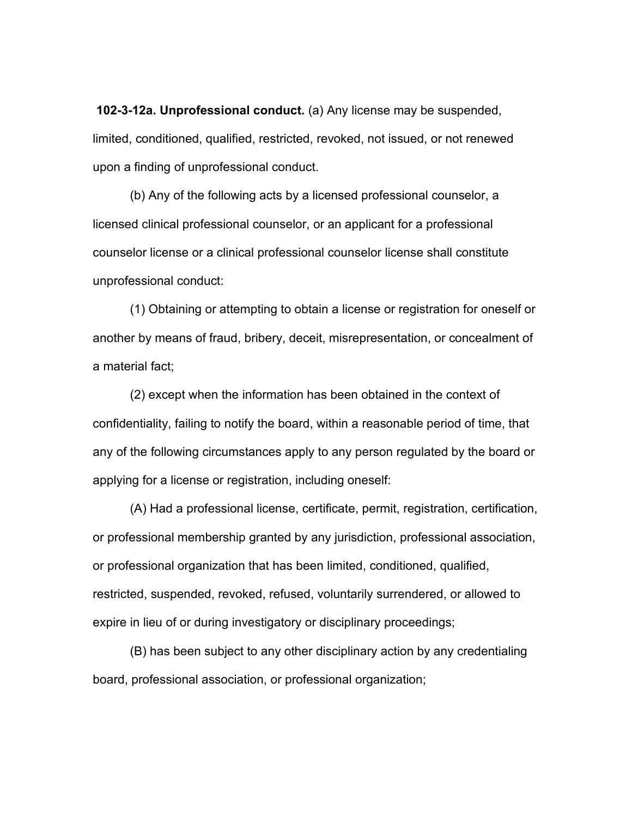**102-3-12a. Unprofessional conduct.** (a) Any license may be suspended, limited, conditioned, qualified, restricted, revoked, not issued, or not renewed upon a finding of unprofessional conduct.

(b) Any of the following acts by a licensed professional counselor, a licensed clinical professional counselor, or an applicant for a professional counselor license or a clinical professional counselor license shall constitute unprofessional conduct:

(1) Obtaining or attempting to obtain a license or registration for oneself or another by means of fraud, bribery, deceit, misrepresentation, or concealment of a material fact;

(2) except when the information has been obtained in the context of confidentiality, failing to notify the board, within a reasonable period of time, that any of the following circumstances apply to any person regulated by the board or applying for a license or registration, including oneself:

(A) Had a professional license, certificate, permit, registration, certification, or professional membership granted by any jurisdiction, professional association, or professional organization that has been limited, conditioned, qualified, restricted, suspended, revoked, refused, voluntarily surrendered, or allowed to expire in lieu of or during investigatory or disciplinary proceedings;

(B) has been subject to any other disciplinary action by any credentialing board, professional association, or professional organization;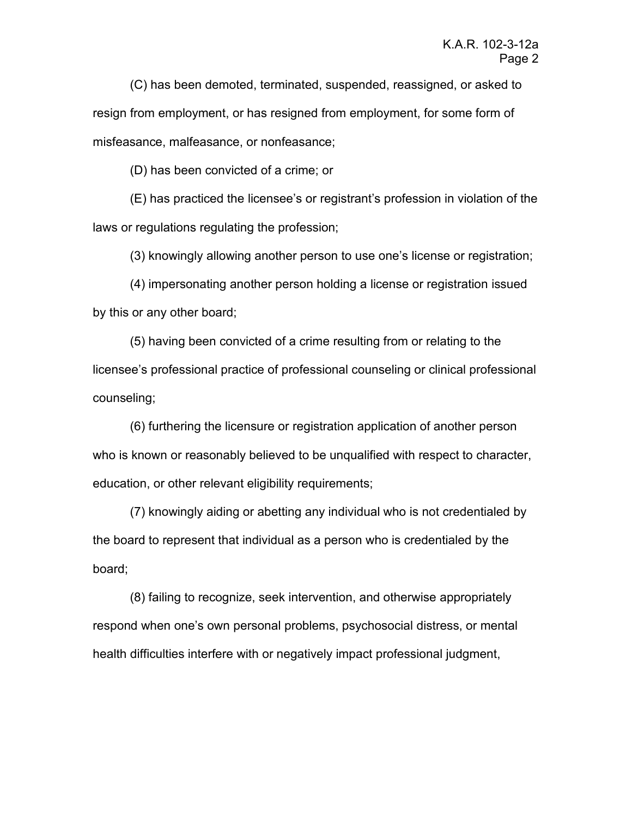(C) has been demoted, terminated, suspended, reassigned, or asked to resign from employment, or has resigned from employment, for some form of misfeasance, malfeasance, or nonfeasance;

(D) has been convicted of a crime; or

(E) has practiced the licensee's or registrant's profession in violation of the laws or regulations regulating the profession;

(3) knowingly allowing another person to use one's license or registration;

(4) impersonating another person holding a license or registration issued by this or any other board;

(5) having been convicted of a crime resulting from or relating to the licensee's professional practice of professional counseling or clinical professional counseling;

(6) furthering the licensure or registration application of another person who is known or reasonably believed to be unqualified with respect to character, education, or other relevant eligibility requirements;

(7) knowingly aiding or abetting any individual who is not credentialed by the board to represent that individual as a person who is credentialed by the board;

(8) failing to recognize, seek intervention, and otherwise appropriately respond when one's own personal problems, psychosocial distress, or mental health difficulties interfere with or negatively impact professional judgment,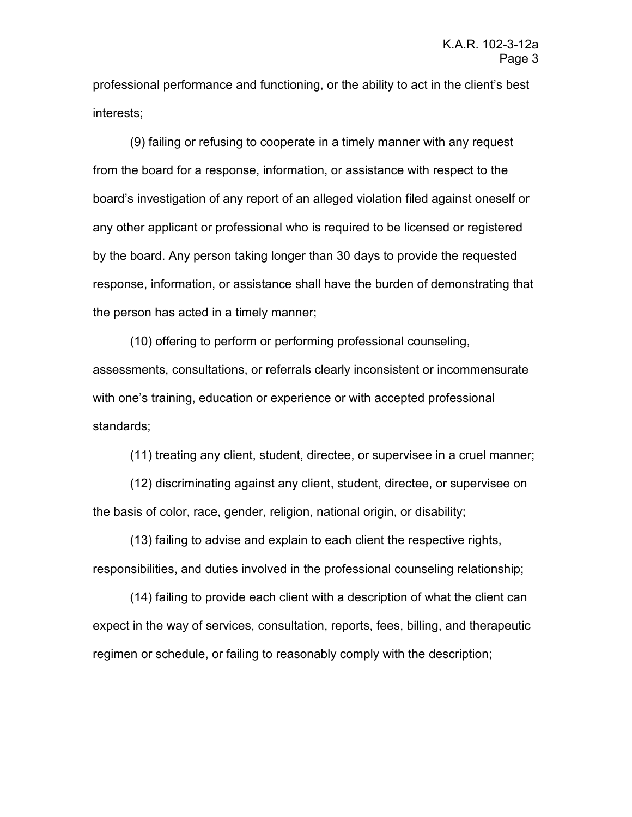professional performance and functioning, or the ability to act in the client's best interests;

(9) failing or refusing to cooperate in a timely manner with any request from the board for a response, information, or assistance with respect to the board's investigation of any report of an alleged violation filed against oneself or any other applicant or professional who is required to be licensed or registered by the board. Any person taking longer than 30 days to provide the requested response, information, or assistance shall have the burden of demonstrating that the person has acted in a timely manner;

(10) offering to perform or performing professional counseling, assessments, consultations, or referrals clearly inconsistent or incommensurate with one's training, education or experience or with accepted professional standards;

(11) treating any client, student, directee, or supervisee in a cruel manner;

(12) discriminating against any client, student, directee, or supervisee on the basis of color, race, gender, religion, national origin, or disability;

(13) failing to advise and explain to each client the respective rights, responsibilities, and duties involved in the professional counseling relationship;

(14) failing to provide each client with a description of what the client can expect in the way of services, consultation, reports, fees, billing, and therapeutic regimen or schedule, or failing to reasonably comply with the description;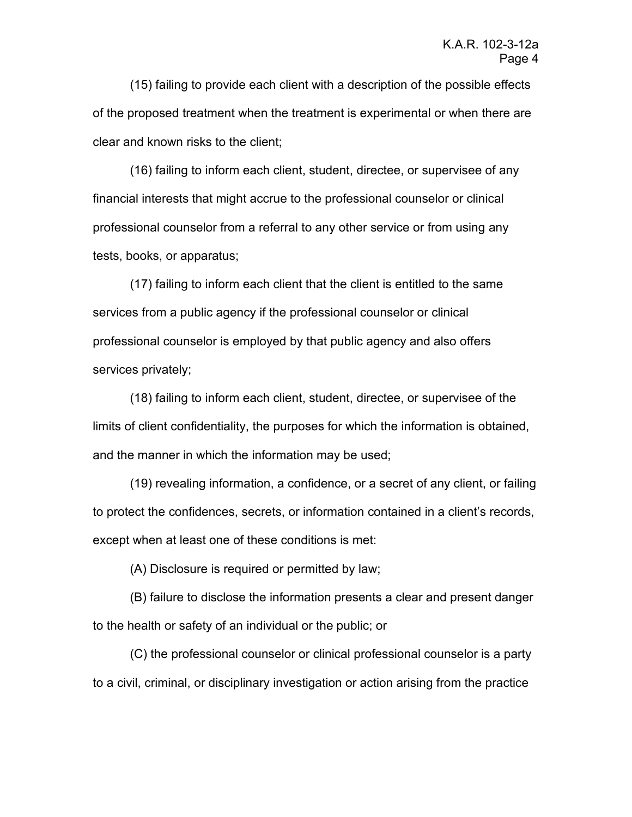(15) failing to provide each client with a description of the possible effects of the proposed treatment when the treatment is experimental or when there are clear and known risks to the client;

(16) failing to inform each client, student, directee, or supervisee of any financial interests that might accrue to the professional counselor or clinical professional counselor from a referral to any other service or from using any tests, books, or apparatus;

(17) failing to inform each client that the client is entitled to the same services from a public agency if the professional counselor or clinical professional counselor is employed by that public agency and also offers services privately;

(18) failing to inform each client, student, directee, or supervisee of the limits of client confidentiality, the purposes for which the information is obtained, and the manner in which the information may be used;

(19) revealing information, a confidence, or a secret of any client, or failing to protect the confidences, secrets, or information contained in a client's records, except when at least one of these conditions is met:

(A) Disclosure is required or permitted by law;

(B) failure to disclose the information presents a clear and present danger to the health or safety of an individual or the public; or

(C) the professional counselor or clinical professional counselor is a party to a civil, criminal, or disciplinary investigation or action arising from the practice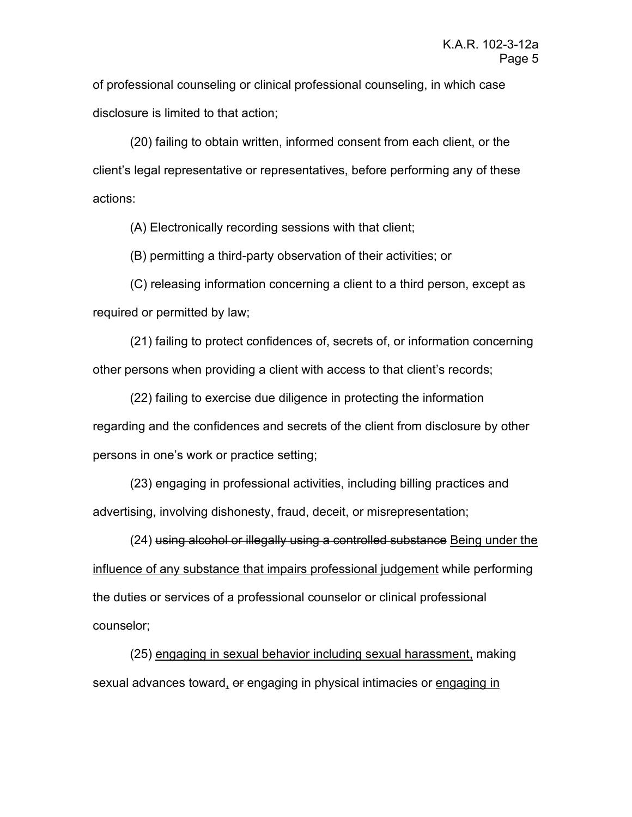of professional counseling or clinical professional counseling, in which case disclosure is limited to that action;

(20) failing to obtain written, informed consent from each client, or the client's legal representative or representatives, before performing any of these actions:

(A) Electronically recording sessions with that client;

(B) permitting a third-party observation of their activities; or

(C) releasing information concerning a client to a third person, except as required or permitted by law;

(21) failing to protect confidences of, secrets of, or information concerning other persons when providing a client with access to that client's records;

(22) failing to exercise due diligence in protecting the information regarding and the confidences and secrets of the client from disclosure by other persons in one's work or practice setting;

(23) engaging in professional activities, including billing practices and advertising, involving dishonesty, fraud, deceit, or misrepresentation;

(24) using alcohol or illegally using a controlled substance Being under the influence of any substance that impairs professional judgement while performing the duties or services of a professional counselor or clinical professional counselor;

(25) engaging in sexual behavior including sexual harassment, making sexual advances toward, or engaging in physical intimacies or engaging in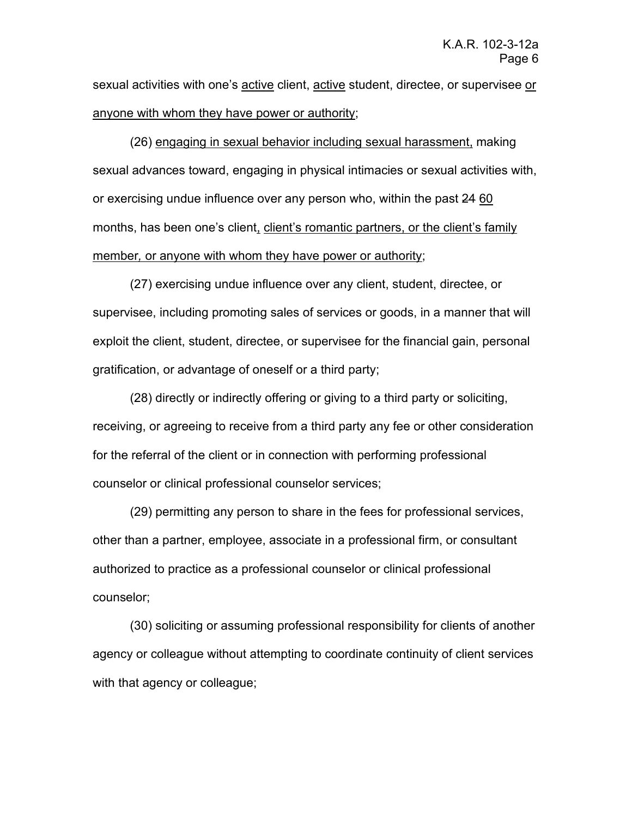sexual activities with one's active client, active student, directee, or supervisee or anyone with whom they have power or authority;

(26) engaging in sexual behavior including sexual harassment, making sexual advances toward, engaging in physical intimacies or sexual activities with, or exercising undue influence over any person who, within the past 24 60 months, has been one's client, client's romantic partners, or the client's family member*,* or anyone with whom they have power or authority;

(27) exercising undue influence over any client, student, directee, or supervisee, including promoting sales of services or goods, in a manner that will exploit the client, student, directee, or supervisee for the financial gain, personal gratification, or advantage of oneself or a third party;

(28) directly or indirectly offering or giving to a third party or soliciting, receiving, or agreeing to receive from a third party any fee or other consideration for the referral of the client or in connection with performing professional counselor or clinical professional counselor services;

(29) permitting any person to share in the fees for professional services, other than a partner, employee, associate in a professional firm, or consultant authorized to practice as a professional counselor or clinical professional counselor;

(30) soliciting or assuming professional responsibility for clients of another agency or colleague without attempting to coordinate continuity of client services with that agency or colleague;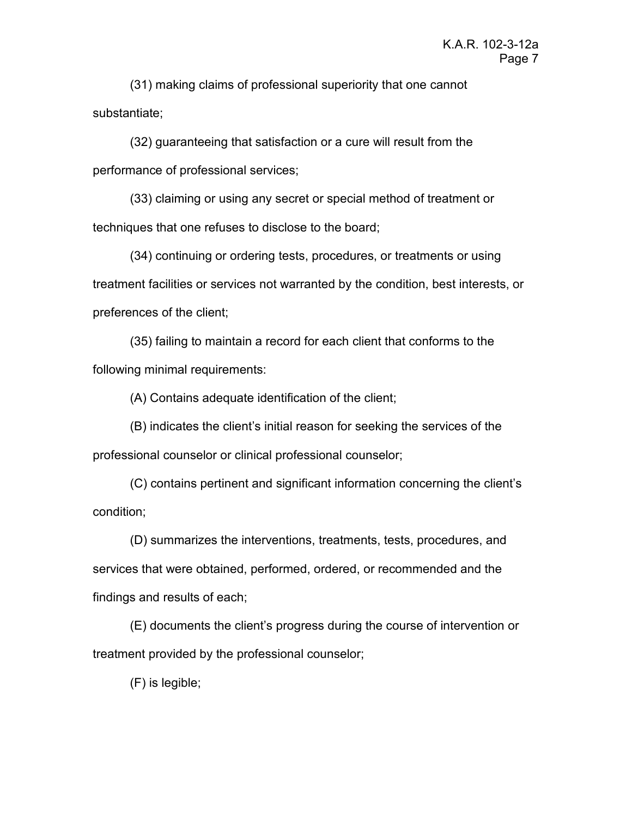(31) making claims of professional superiority that one cannot substantiate;

(32) guaranteeing that satisfaction or a cure will result from the performance of professional services;

(33) claiming or using any secret or special method of treatment or techniques that one refuses to disclose to the board;

(34) continuing or ordering tests, procedures, or treatments or using treatment facilities or services not warranted by the condition, best interests, or preferences of the client;

(35) failing to maintain a record for each client that conforms to the following minimal requirements:

(A) Contains adequate identification of the client;

(B) indicates the client's initial reason for seeking the services of the professional counselor or clinical professional counselor;

(C) contains pertinent and significant information concerning the client's condition;

(D) summarizes the interventions, treatments, tests, procedures, and services that were obtained, performed, ordered, or recommended and the findings and results of each;

(E) documents the client's progress during the course of intervention or treatment provided by the professional counselor;

(F) is legible;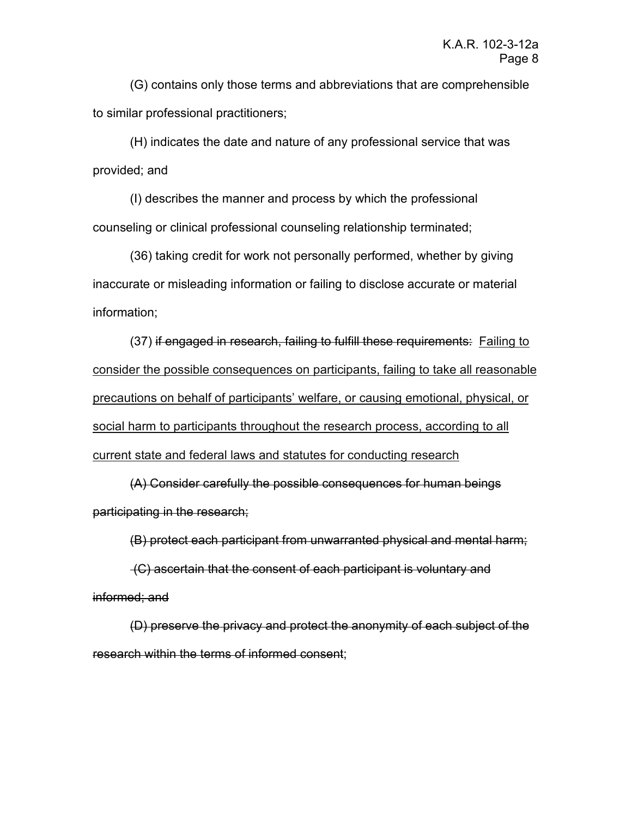(G) contains only those terms and abbreviations that are comprehensible to similar professional practitioners;

(H) indicates the date and nature of any professional service that was provided; and

(I) describes the manner and process by which the professional counseling or clinical professional counseling relationship terminated;

(36) taking credit for work not personally performed, whether by giving inaccurate or misleading information or failing to disclose accurate or material information;

(37) if engaged in research, failing to fulfill these requirements: Failing to consider the possible consequences on participants, failing to take all reasonable precautions on behalf of participants' welfare, or causing emotional, physical, or social harm to participants throughout the research process, according to all current state and federal laws and statutes for conducting research

(A) Consider carefully the possible consequences for human beings participating in the research;

(B) protect each participant from unwarranted physical and mental harm;

(C) ascertain that the consent of each participant is voluntary and informed; and

(D) preserve the privacy and protect the anonymity of each subject of the research within the terms of informed consent;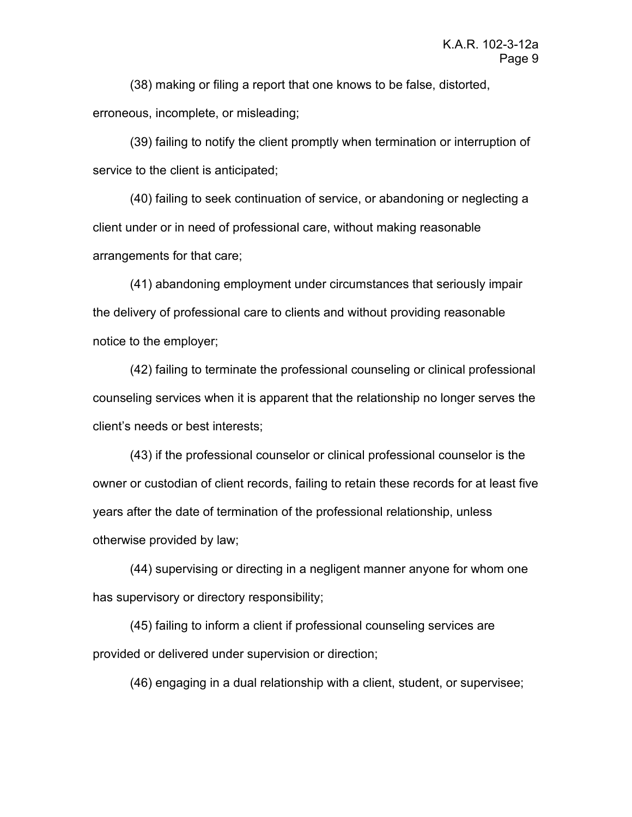(38) making or filing a report that one knows to be false, distorted, erroneous, incomplete, or misleading;

(39) failing to notify the client promptly when termination or interruption of service to the client is anticipated;

(40) failing to seek continuation of service, or abandoning or neglecting a client under or in need of professional care, without making reasonable arrangements for that care;

(41) abandoning employment under circumstances that seriously impair the delivery of professional care to clients and without providing reasonable notice to the employer;

(42) failing to terminate the professional counseling or clinical professional counseling services when it is apparent that the relationship no longer serves the client's needs or best interests;

(43) if the professional counselor or clinical professional counselor is the owner or custodian of client records, failing to retain these records for at least five years after the date of termination of the professional relationship, unless otherwise provided by law;

(44) supervising or directing in a negligent manner anyone for whom one has supervisory or directory responsibility;

(45) failing to inform a client if professional counseling services are provided or delivered under supervision or direction;

(46) engaging in a dual relationship with a client, student, or supervisee;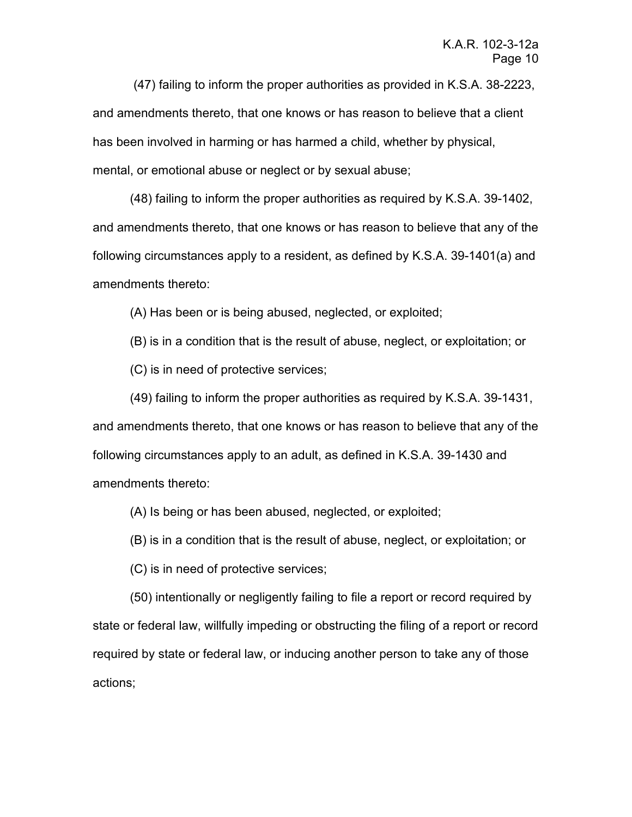(47) failing to inform the proper authorities as provided in K.S.A. 38-2223, and amendments thereto, that one knows or has reason to believe that a client has been involved in harming or has harmed a child, whether by physical, mental, or emotional abuse or neglect or by sexual abuse;

(48) failing to inform the proper authorities as required by K.S.A. 39-1402, and amendments thereto, that one knows or has reason to believe that any of the following circumstances apply to a resident, as defined by K.S.A. 39-1401(a) and amendments thereto:

(A) Has been or is being abused, neglected, or exploited;

(B) is in a condition that is the result of abuse, neglect, or exploitation; or

(C) is in need of protective services;

(49) failing to inform the proper authorities as required by K.S.A. 39-1431, and amendments thereto, that one knows or has reason to believe that any of the following circumstances apply to an adult, as defined in K.S.A. 39-1430 and amendments thereto:

(A) Is being or has been abused, neglected, or exploited;

(B) is in a condition that is the result of abuse, neglect, or exploitation; or

(C) is in need of protective services;

(50) intentionally or negligently failing to file a report or record required by state or federal law, willfully impeding or obstructing the filing of a report or record required by state or federal law, or inducing another person to take any of those actions;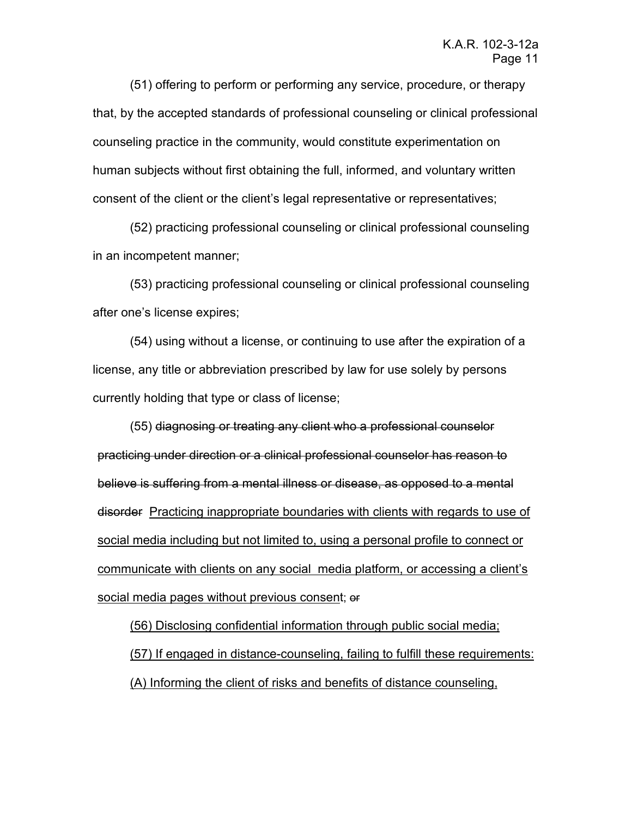(51) offering to perform or performing any service, procedure, or therapy that, by the accepted standards of professional counseling or clinical professional counseling practice in the community, would constitute experimentation on human subjects without first obtaining the full, informed, and voluntary written consent of the client or the client's legal representative or representatives;

(52) practicing professional counseling or clinical professional counseling in an incompetent manner;

(53) practicing professional counseling or clinical professional counseling after one's license expires;

(54) using without a license, or continuing to use after the expiration of a license, any title or abbreviation prescribed by law for use solely by persons currently holding that type or class of license;

(55) diagnosing or treating any client who a professional counselor practicing under direction or a clinical professional counselor has reason to believe is suffering from a mental illness or disease, as opposed to a mental disorder Practicing inappropriate boundaries with clients with regards to use of social media including but not limited to, using a personal profile to connect or communicate with clients on any social media platform, or accessing a client's social media pages without previous consent; or

(56) Disclosing confidential information through public social media; (57) If engaged in distance-counseling, failing to fulfill these requirements: (A) Informing the client of risks and benefits of distance counseling,